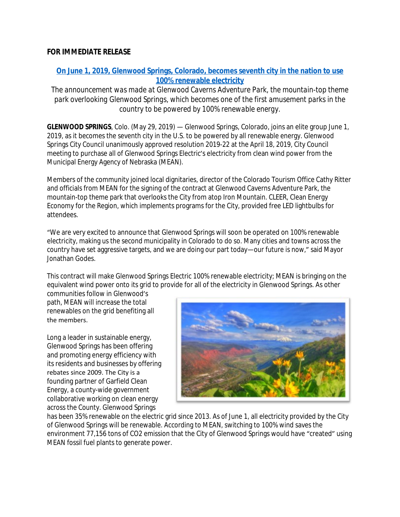## **FOR IMMEDIATE RELEASE**

# **[On June 1, 2019, Glenwood Springs, Colorado, becomes seventh city in the nation to use](Online%20version%20with%20video%20and%20photos:%20http:/bit.ly/GlenwoodSpringsRenewable) 100% renewable electricity**

*The announcement was made at Glenwood Caverns Adventure Park, the mountain-top theme park overlooking Glenwood Springs, which becomes one of the first amusement parks in the country to be powered by 100% renewable energy.*

**GLENWOOD SPRINGS**, Colo. (May 29, 2019) — Glenwood Springs, Colorado, joins an elite group June 1, 2019, as it becomes the seventh city in the U.S. to be powered by all renewable energy. Glenwood Springs City Council unanimously approved resolution 2019-22 at the April 18, 2019, City Council meeting to purchase all of Glenwood Springs Electric's electricity from clean wind power from the Municipal Energy Agency of Nebraska (MEAN).

Members of the community joined local dignitaries, director of the Colorado Tourism Office Cathy Ritter and officials from MEAN for the signing of the contract at Glenwood Caverns Adventure Park, the mountain-top theme park that overlooks the City from atop Iron Mountain. CLEER, Clean Energy Economy for the Region, which implements programs for the City, provided free LED lightbulbs for attendees.

"We are very excited to announce that Glenwood Springs will soon be operated on 100% renewable electricity, making us the second municipality in Colorado to do so. Many cities and towns across the country have set aggressive targets, and we are doing our part today—our future is now," said Mayor Jonathan Godes.

This contract will make Glenwood Springs Electric 100% renewable electricity; MEAN is bringing on the equivalent wind power onto its grid to provide for all of the electricity in Glenwood Springs. As other

communities follow in Glenwood's path, MEAN will increase the total renewables on the grid benefiting all the members.

Long a leader in sustainable energy, Glenwood Springs has been offering and promoting energy efficiency with its residents and businesses by offering rebates since 2009. The City is a founding partner of Garfield Clean Energy, a county-wide government collaborative working on clean energy across the County. Glenwood Springs



has been 35% renewable on the electric grid since 2013. As of June 1, all electricity provided by the City of Glenwood Springs will be renewable. According to MEAN, switching to 100% wind saves the environment 77,156 tons of CO2 emission that the City of Glenwood Springs would have "created" using MEAN fossil fuel plants to generate power.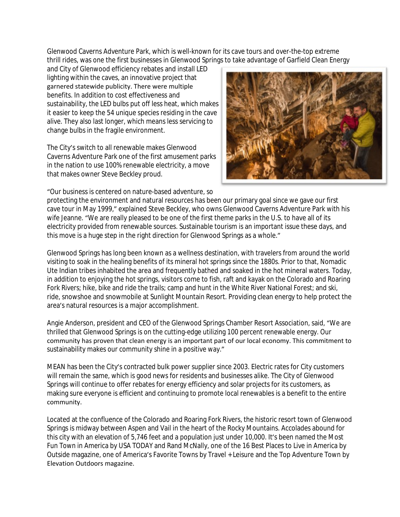Glenwood Caverns Adventure Park, which is well-known for its cave tours and over-the-top extreme thrill rides, was one the first businesses in Glenwood Springs to take advantage of Garfield Clean Energy

and City of Glenwood efficiency rebates and install LED lighting within the caves, an innovative project that garnered statewide publicity. There were multiple benefits. In addition to cost effectiveness and sustainability, the LED bulbs put off less heat, which makes it easier to keep the 54 unique species residing in the cave alive. They also last longer, which means less servicing to change bulbs in the fragile environment.

The City's switch to all renewable makes Glenwood Caverns Adventure Park one of the first amusement parks in the nation to use 100% renewable electricity, a move that makes owner Steve Beckley proud.

"Our business is centered on nature-based adventure, so



protecting the environment and natural resources has been our primary goal since we gave our first cave tour in May 1999," explained Steve Beckley, who owns Glenwood Caverns Adventure Park with his wife Jeanne. "We are really pleased to be one of the first theme parks in the U.S. to have all of its electricity provided from renewable sources. Sustainable tourism is an important issue these days, and this move is a huge step in the right direction for Glenwood Springs as a whole."

Glenwood Springs has long been known as a wellness destination, with travelers from around the world visiting to soak in the healing benefits of its mineral hot springs since the 1880s. Prior to that, Nomadic Ute Indian tribes inhabited the area and frequently bathed and soaked in the hot mineral waters. Today, in addition to enjoying the hot springs, visitors come to fish, raft and kayak on the Colorado and Roaring Fork Rivers; hike, bike and ride the trails; camp and hunt in the White River National Forest; and ski, ride, snowshoe and snowmobile at Sunlight Mountain Resort. Providing clean energy to help protect the area's natural resources is a major accomplishment.

Angie Anderson, president and CEO of the Glenwood Springs Chamber Resort Association, said, "We are thrilled that Glenwood Springs is on the cutting-edge utilizing 100 percent renewable energy. Our community has proven that clean energy is an important part of our local economy. This commitment to sustainability makes our community shine in a positive way."

MEAN has been the City's contracted bulk power supplier since 2003. Electric rates for City customers will remain the same, which is good news for residents and businesses alike. The City of Glenwood Springs will continue to offer rebates for energy efficiency and solar projects for its customers, as making sure everyone is efficient and continuing to promote local renewables is a benefit to the entire community.

Located at the confluence of the Colorado and Roaring Fork Rivers, the historic resort town of Glenwood Springs is midway between Aspen and Vail in the heart of the Rocky Mountains. Accolades abound for this city with an elevation of 5,746 feet and a population just under 10,000. It's been named the Most Fun Town in America by USA TODAY and Rand McNally, one of the 16 Best Places to Live in America by Outside magazine, one of America's Favorite Towns by Travel + Leisure and the Top Adventure Town by Elevation Outdoors magazine.